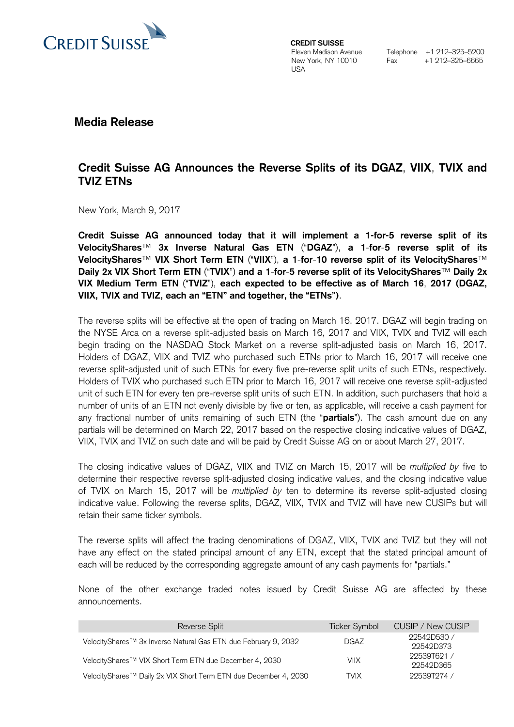

**CREDIT SUISSE**  Eleven Madison Avenue New York, NY 10010 **I**ISA

Telephone +1 212–325–5200 Fax +1 212–325–6665

**Media Release**

## **Credit Suisse AG Announces the Reverse Splits of its DGAZ**, **VIIX**, **TVIX and TVIZ ETNs**

New York, March 9, 2017

**Credit Suisse AG announced today that it will implement a 1-for-5 reverse split of its VelocityShares**™ **3x Inverse Natural Gas ETN** ("**DGAZ**"), **a 1**-**for**-**5 reverse split of its VelocityShares**™ **VIX Short Term ETN** ("**VIIX**"), **a 1**-**for**-**10 reverse split of its VelocityShares**™ **Daily 2x VIX Short Term ETN** ("**TVIX**") **and a 1**-**for**-**5 reverse split of its VelocityShares**™ **Daily 2x VIX Medium Term ETN** ("**TVIZ**"), **each expected to be effective as of March 16**, **2017 (DGAZ, VIIX, TVIX and TVIZ, each an "ETN" and together, the "ETNs")**.

The reverse splits will be effective at the open of trading on March 16, 2017. DGAZ will begin trading on the NYSE Arca on a reverse split-adjusted basis on March 16, 2017 and VIIX, TVIX and TVIZ will each begin trading on the NASDAQ Stock Market on a reverse split-adjusted basis on March 16, 2017. Holders of DGAZ, VIIX and TVIZ who purchased such ETNs prior to March 16, 2017 will receive one reverse split-adjusted unit of such ETNs for every five pre-reverse split units of such ETNs, respectively. Holders of TVIX who purchased such ETN prior to March 16, 2017 will receive one reverse split-adjusted unit of such ETN for every ten pre-reverse split units of such ETN. In addition, such purchasers that hold a number of units of an ETN not evenly divisible by five or ten, as applicable, will receive a cash payment for any fractional number of units remaining of such ETN (the "**partials**"). The cash amount due on any partials will be determined on March 22, 2017 based on the respective closing indicative values of DGAZ, VIIX, TVIX and TVIZ on such date and will be paid by Credit Suisse AG on or about March 27, 2017.

The closing indicative values of DGAZ, VIIX and TVIZ on March 15, 2017 will be *multiplied by* five to determine their respective reverse split-adjusted closing indicative values, and the closing indicative value of TVIX on March 15, 2017 will be *multiplied by* ten to determine its reverse split-adjusted closing indicative value. Following the reverse splits, DGAZ, VIIX, TVIX and TVIZ will have new CUSIPs but will retain their same ticker symbols.

The reverse splits will affect the trading denominations of DGAZ, VIIX, TVIX and TVIZ but they will not have any effect on the stated principal amount of any ETN, except that the stated principal amount of each will be reduced by the corresponding aggregate amount of any cash payments for "partials."

None of the other exchange traded notes issued by Credit Suisse AG are affected by these announcements.

| Reverse Split                                                               | <b>Ticker Symbol</b> | CUSIP / New CUSIP |
|-----------------------------------------------------------------------------|----------------------|-------------------|
| VelocityShares <sup>™</sup> 3x Inverse Natural Gas ETN due February 9, 2032 | <b>DGAZ</b>          | 22542D530/        |
|                                                                             |                      | 22542D373         |
| VelocityShares <sup>™</sup> VIX Short Term ETN due December 4, 2030         | <b>VIIX</b>          | 22539T621/        |
|                                                                             |                      | 22542D365         |
| VelocityShares™ Daily 2x VIX Short Term ETN due December 4, 2030            | <b>TVIX</b>          | 22539T274/        |